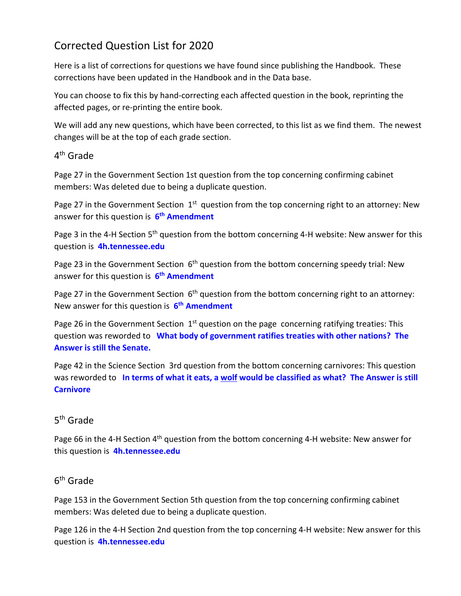# Corrected Question List for 2020

Here is a list of corrections for questions we have found since publishing the Handbook. These corrections have been updated in the Handbook and in the Data base.

You can choose to fix this by hand‐correcting each affected question in the book, reprinting the affected pages, or re‐printing the entire book.

We will add any new questions, which have been corrected, to this list as we find them. The newest changes will be at the top of each grade section.

### 4th Grade

Page 27 in the Government Section 1st question from the top concerning confirming cabinet members: Was deleted due to being a duplicate question.

Page 27 in the Government Section  $1<sup>st</sup>$  question from the top concerning right to an attorney: New answer for this question is **6th Amendment**

Page 3 in the 4-H Section 5<sup>th</sup> question from the bottom concerning 4-H website: New answer for this question is **4h.tennessee.edu**

Page 23 in the Government Section  $6<sup>th</sup>$  question from the bottom concerning speedy trial: New answer for this question is **6th Amendment**

Page 27 in the Government Section  $6<sup>th</sup>$  question from the bottom concerning right to an attorney: New answer for this question is **6th Amendment**

Page 26 in the Government Section  $1<sup>st</sup>$  question on the page concerning ratifying treaties: This question was reworded to **What body of government ratifies treaties with other nations? The Answer is still the Senate.**

Page 42 in the Science Section 3rd question from the bottom concerning carnivores: This question was reworded to In terms of what it eats, a wolf would be classified as what? The Answer is still **Carnivore**

# 5th Grade

Page 66 in the 4-H Section 4<sup>th</sup> question from the bottom concerning 4-H website: New answer for this question is **4h.tennessee.edu**

# 6th Grade

Page 153 in the Government Section 5th question from the top concerning confirming cabinet members: Was deleted due to being a duplicate question.

Page 126 in the 4‐H Section 2nd question from the top concerning 4‐H website: New answer for this question is **4h.tennessee.edu**